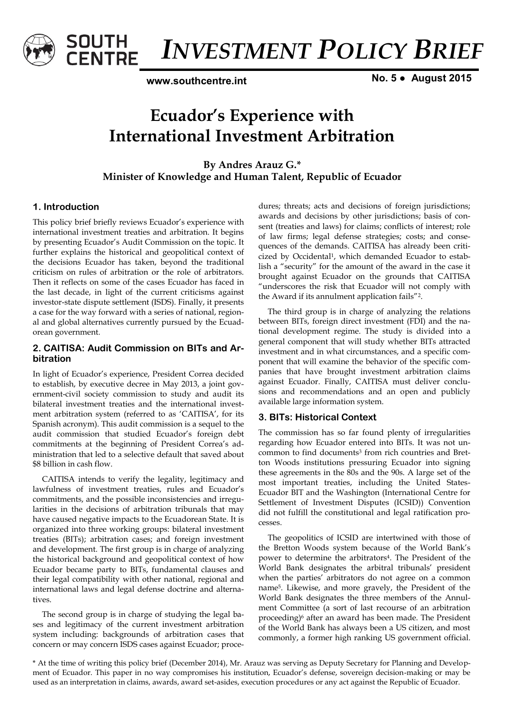

*INVESTMENT POLICY BRIEF* 

**www.southcentre.int**

**No. 5 ● August 2015** 

# **Ecuador's Experience with International Investment Arbitration**

**By Andres Arauz G.\* Minister of Knowledge and Human Talent, Republic of Ecuador** 

## **1. Introduction**

This policy brief briefly reviews Ecuador's experience with international investment treaties and arbitration. It begins by presenting Ecuador's Audit Commission on the topic. It further explains the historical and geopolitical context of the decisions Ecuador has taken, beyond the traditional criticism on rules of arbitration or the role of arbitrators. Then it reflects on some of the cases Ecuador has faced in the last decade, in light of the current criticisms against investor-state dispute settlement (ISDS). Finally, it presents a case for the way forward with a series of national, regional and global alternatives currently pursued by the Ecuadorean government.

## **2. CAITISA: Audit Commission on BITs and Arbitration**

In light of Ecuador's experience, President Correa decided to establish, by executive decree in May 2013, a joint government-civil society commission to study and audit its bilateral investment treaties and the international investment arbitration system (referred to as 'CAITISA', for its Spanish acronym). This audit commission is a sequel to the audit commission that studied Ecuador's foreign debt commitments at the beginning of President Correa's administration that led to a selective default that saved about \$8 billion in cash flow.

CAITISA intends to verify the legality, legitimacy and lawfulness of investment treaties, rules and Ecuador's commitments, and the possible inconsistencies and irregularities in the decisions of arbitration tribunals that may have caused negative impacts to the Ecuadorean State. It is organized into three working groups: bilateral investment treaties (BITs); arbitration cases; and foreign investment and development. The first group is in charge of analyzing the historical background and geopolitical context of how Ecuador became party to BITs, fundamental clauses and their legal compatibility with other national, regional and international laws and legal defense doctrine and alternatives.

The second group is in charge of studying the legal bases and legitimacy of the current investment arbitration system including: backgrounds of arbitration cases that concern or may concern ISDS cases against Ecuador; procedures; threats; acts and decisions of foreign jurisdictions; awards and decisions by other jurisdictions; basis of consent (treaties and laws) for claims; conflicts of interest; role of law firms; legal defense strategies; costs; and consequences of the demands. CAITISA has already been criticized by Occidental<sup>1</sup>, which demanded Ecuador to establish a "security" for the amount of the award in the case it brought against Ecuador on the grounds that CAITISA "underscores the risk that Ecuador will not comply with the Award if its annulment application fails"2.

The third group is in charge of analyzing the relations between BITs, foreign direct investment (FDI) and the national development regime. The study is divided into a general component that will study whether BITs attracted investment and in what circumstances, and a specific component that will examine the behavior of the specific companies that have brought investment arbitration claims against Ecuador. Finally, CAITISA must deliver conclusions and recommendations and an open and publicly available large information system.

## **3. BITs: Historical Context**

The commission has so far found plenty of irregularities regarding how Ecuador entered into BITs. It was not uncommon to find documents<sup>3</sup> from rich countries and Bretton Woods institutions pressuring Ecuador into signing these agreements in the 80s and the 90s. A large set of the most important treaties, including the United States-Ecuador BIT and the Washington (International Centre for Settlement of Investment Disputes (ICSID)) Convention did not fulfill the constitutional and legal ratification processes.

The geopolitics of ICSID are intertwined with those of the Bretton Woods system because of the World Bank's power to determine the arbitrators<sup>4</sup>. The President of the World Bank designates the arbitral tribunals' president when the parties' arbitrators do not agree on a common name5. Likewise, and more gravely, the President of the World Bank designates the three members of the Annulment Committee (a sort of last recourse of an arbitration proceeding)<sup>6</sup> after an award has been made. The President of the World Bank has always been a US citizen, and most commonly, a former high ranking US government official.

\* At the time of writing this policy brief (December 2014), Mr. Arauz was serving as Deputy Secretary for Planning and Development of Ecuador. This paper in no way compromises his institution, Ecuador's defense, sovereign decision-making or may be used as an interpretation in claims, awards, award set-asides, execution procedures or any act against the Republic of Ecuador.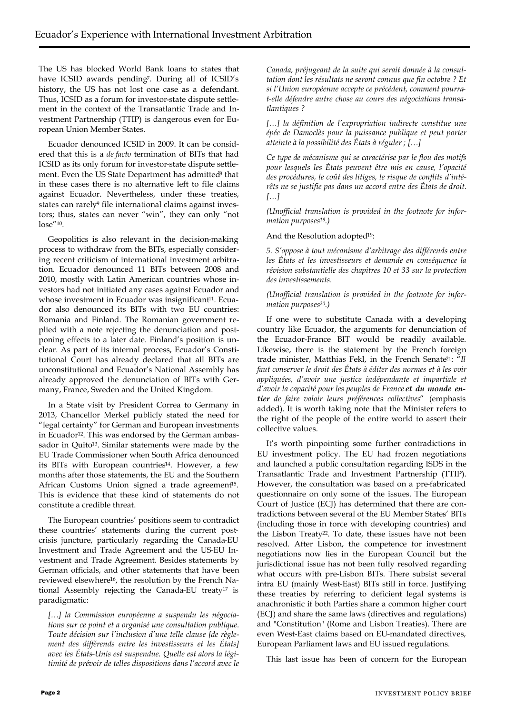The US has blocked World Bank loans to states that have ICSID awards pending7. During all of ICSID's history, the US has not lost one case as a defendant. Thus, ICSID as a forum for investor-state dispute settlement in the context of the Transatlantic Trade and Investment Partnership (TTIP) is dangerous even for European Union Member States.

Ecuador denounced ICSID in 2009. It can be considered that this is a *de facto* termination of BITs that had ICSID as its only forum for investor-state dispute settlement. Even the US State Department has admitted<sup>8</sup> that in these cases there is no alternative left to file claims against Ecuador. Nevertheless, under these treaties, states can rarely<sup>9</sup> file international claims against investors; thus, states can never "win", they can only "not lose"10.

Geopolitics is also relevant in the decision-making process to withdraw from the BITs, especially considering recent criticism of international investment arbitration. Ecuador denounced 11 BITs between 2008 and 2010, mostly with Latin American countries whose investors had not initiated any cases against Ecuador and whose investment in Ecuador was insignificant<sup>11</sup>. Ecuador also denounced its BITs with two EU countries: Romania and Finland. The Romanian government replied with a note rejecting the denunciation and postponing effects to a later date. Finland's position is unclear. As part of its internal process, Ecuador's Constitutional Court has already declared that all BITs are unconstitutional and Ecuador's National Assembly has already approved the denunciation of BITs with Germany, France, Sweden and the United Kingdom.

In a State visit by President Correa to Germany in 2013, Chancellor Merkel publicly stated the need for "legal certainty" for German and European investments in Ecuador<sup>12</sup>. This was endorsed by the German ambassador in Quito<sup>13</sup>. Similar statements were made by the EU Trade Commissioner when South Africa denounced its BITs with European countries<sup>14</sup>. However, a few months after those statements, the EU and the Southern African Customs Union signed a trade agreement<sup>15</sup>. This is evidence that these kind of statements do not constitute a credible threat.

The European countries' positions seem to contradict these countries' statements during the current postcrisis juncture, particularly regarding the Canada-EU Investment and Trade Agreement and the US-EU Investment and Trade Agreement. Besides statements by German officials, and other statements that have been reviewed elsewhere<sup>16</sup>, the resolution by the French National Assembly rejecting the Canada-EU treaty<sup>17</sup> is paradigmatic:

*[…] la Commission européenne a suspendu les négociations sur ce point et a organisé une consultation publique. Toute décision sur l'inclusion d'une telle clause [de règlement des différends entre les investisseurs et les États] avec les États-Unis est suspendue. Quelle est alors la légitimité de prévoir de telles dispositions dans l'accord avec le* 

*Canada, préjugeant de la suite qui serait donnée à la consultation dont les résultats ne seront connus que fin octobre ? Et si l'Union européenne accepte ce précédent, comment pourrat-elle défendre autre chose au cours des négociations transatlantiques ?*

*[…] la définition de l'expropriation indirecte constitue une épée de Damoclès pour la puissance publique et peut porter atteinte à la possibilité des États à réguler ; […]*

*Ce type de mécanisme qui se caractérise par le flou des motifs pour lesquels les États peuvent être mis en cause, l'opacité des procédures, le coût des litiges, le risque de conflits d'intérêts ne se justifie pas dans un accord entre des États de droit. […]*

*(Unofficial translation is provided in the footnote for information purposes18.)*

And the Resolution adopted19:

*5. S'oppose à tout mécanisme d'arbitrage des différends entre les États et les investisseurs et demande en conséquence la révision substantielle des chapitres 10 et 33 sur la protection des investissements.*

*(Unofficial translation is provided in the footnote for information purposes20.)*

If one were to substitute Canada with a developing country like Ecuador, the arguments for denunciation of the Ecuador-France BIT would be readily available. Likewise, there is the statement by the French foreign trade minister, Matthias Fekl, in the French Senate21: "*Il faut conserver le droit des États à éditer des normes et à les voir appliquées, d'avoir une justice indépendante et impartiale et d'avoir la capacité pour les peuples de France et du monde entier de faire valoir leurs préférences collectives*" (emphasis added). It is worth taking note that the Minister refers to the right of the people of the entire world to assert their collective values.

It's worth pinpointing some further contradictions in EU investment policy. The EU had frozen negotiations and launched a public consultation regarding ISDS in the Transatlantic Trade and Investment Partnership (TTIP). However, the consultation was based on a pre-fabricated questionnaire on only some of the issues. The European Court of Justice (ECJ) has determined that there are contradictions between several of the EU Member States' BITs (including those in force with developing countries) and the Lisbon Treaty<sup>22</sup>. To date, these issues have not been resolved. After Lisbon, the competence for investment negotiations now lies in the European Council but the jurisdictional issue has not been fully resolved regarding what occurs with pre-Lisbon BITs. There subsist several intra EU (mainly West-East) BITs still in force. Justifying these treaties by referring to deficient legal systems is anachronistic if both Parties share a common higher court (ECJ) and share the same laws (directives and regulations) and "Constitution" (Rome and Lisbon Treaties). There are even West-East claims based on EU-mandated directives, European Parliament laws and EU issued regulations.

This last issue has been of concern for the European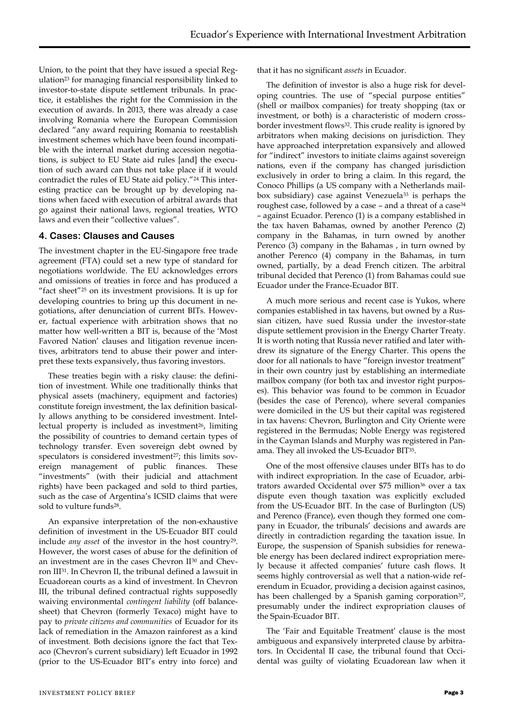Union, to the point that they have issued a special Regulation<sup>23</sup> for managing financial responsibility linked to investor-to-state dispute settlement tribunals. In practice, it establishes the right for the Commission in the execution of awards. In 2013, there was already a case involving Romania where the European Commission declared "any award requiring Romania to reestablish investment schemes which have been found incompatible with the internal market during accession negotiations, is subject to EU State aid rules [and] the execution of such award can thus not take place if it would contradict the rules of EU State aid policy."<sup>24</sup> This interesting practice can be brought up by developing nations when faced with execution of arbitral awards that go against their national laws, regional treaties, WTO laws and even their "collective values".

#### **4. Cases: Clauses and Causes**

The investment chapter in the EU-Singapore free trade agreement (FTA) could set a new type of standard for negotiations worldwide. The EU acknowledges errors and omissions of treaties in force and has produced a "fact sheet"<sup>25</sup> on its investment provisions. It is up for developing countries to bring up this document in negotiations, after denunciation of current BITs. However, factual experience with arbitration shows that no matter how well-written a BIT is, because of the 'Most Favored Nation' clauses and litigation revenue incentives, arbitrators tend to abuse their power and interpret these texts expansively, thus favoring investors.

These treaties begin with a risky clause: the definition of investment. While one traditionally thinks that physical assets (machinery, equipment and factories) constitute foreign investment, the lax definition basically allows anything to be considered investment. Intellectual property is included as investment<sup>26</sup>, limiting the possibility of countries to demand certain types of technology transfer. Even sovereign debt owned by speculators is considered investment<sup>27</sup>; this limits sovereign management of public finances. These "investments" (with their judicial and attachment rights) have been packaged and sold to third parties, such as the case of Argentina's ICSID claims that were sold to vulture funds28.

An expansive interpretation of the non-exhaustive definition of investment in the US-Ecuador BIT could include *any asset* of the investor in the host country29. However, the worst cases of abuse for the definition of an investment are in the cases Chevron II<sup>30</sup> and Chevron III31. In Chevron II, the tribunal defined a lawsuit in Ecuadorean courts as a kind of investment. In Chevron III, the tribunal defined contractual rights supposedly waiving environmental *contingent liability* (off balancesheet) that Chevron (formerly Texaco) might have to pay to *private citizens and communities* of Ecuador for its lack of remediation in the Amazon rainforest as a kind of investment. Both decisions ignore the fact that Texaco (Chevron's current subsidiary) left Ecuador in 1992 (prior to the US-Ecuador BIT's entry into force) and

that it has no significant *assets* in Ecuador.

The definition of investor is also a huge risk for developing countries. The use of "special purpose entities" (shell or mailbox companies) for treaty shopping (tax or investment, or both) is a characteristic of modern crossborder investment flows32. This crude reality is ignored by arbitrators when making decisions on jurisdiction. They have approached interpretation expansively and allowed for "indirect" investors to initiate claims against sovereign nations, even if the company has changed jurisdiction exclusively in order to bring a claim. In this regard, the Conoco Phillips (a US company with a Netherlands mailbox subsidiary) case against Venezuela<sup>33</sup> is perhaps the roughest case, followed by a case - and a threat of a case<sup>34</sup> – against Ecuador. Perenco (1) is a company established in the tax haven Bahamas, owned by another Perenco (2) company in the Bahamas, in turn owned by another Perenco (3) company in the Bahamas , in turn owned by another Perenco (4) company in the Bahamas, in turn owned, partially, by a dead French citizen. The arbitral tribunal decided that Perenco (1) from Bahamas could sue Ecuador under the France-Ecuador BIT.

A much more serious and recent case is Yukos, where companies established in tax havens, but owned by a Russian citizen, have sued Russia under the investor-state dispute settlement provision in the Energy Charter Treaty. It is worth noting that Russia never ratified and later withdrew its signature of the Energy Charter. This opens the door for all nationals to have "foreign investor treatment" in their own country just by establishing an intermediate mailbox company (for both tax and investor right purposes). This behavior was found to be common in Ecuador (besides the case of Perenco), where several companies were domiciled in the US but their capital was registered in tax havens: Chevron, Burlington and City Oriente were registered in the Bermudas; Noble Energy was registered in the Cayman Islands and Murphy was registered in Panama. They all invoked the US-Ecuador BIT35.

One of the most offensive clauses under BITs has to do with indirect expropriation. In the case of Ecuador, arbitrators awarded Occidental over \$75 million<sup>36</sup> over a tax dispute even though taxation was explicitly excluded from the US-Ecuador BIT. In the case of Burlington (US) and Perenco (France), even though they formed one company in Ecuador, the tribunals' decisions and awards are directly in contradiction regarding the taxation issue. In Europe, the suspension of Spanish subsidies for renewable energy has been declared indirect expropriation merely because it affected companies' future cash flows. It seems highly controversial as well that a nation-wide referendum in Ecuador, providing a decision against casinos, has been challenged by a Spanish gaming corporation<sup>37</sup>, presumably under the indirect expropriation clauses of the Spain-Ecuador BIT.

The 'Fair and Equitable Treatment' clause is the most ambiguous and expansively interpreted clause by arbitrators. In Occidental II case, the tribunal found that Occidental was guilty of violating Ecuadorean law when it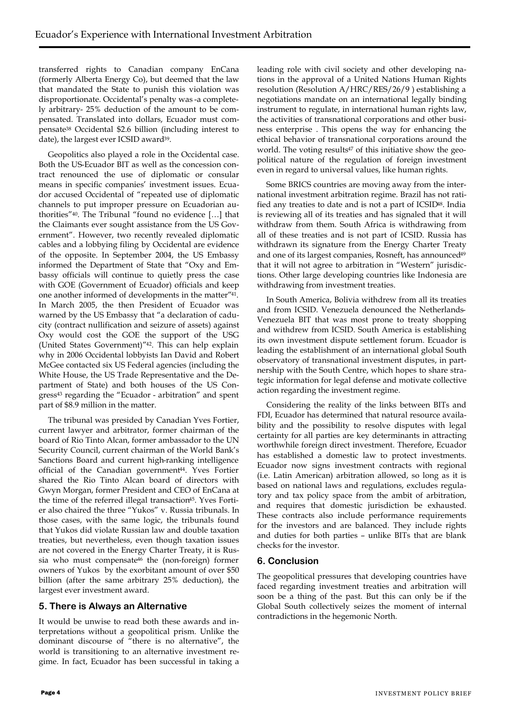transferred rights to Canadian company EnCana (formerly Alberta Energy Co), but deemed that the law that mandated the State to punish this violation was disproportionate. Occidental's penalty was -a completely arbitrary- 25% deduction of the amount to be compensated. Translated into dollars, Ecuador must compensate<sup>38</sup> Occidental \$2.6 billion (including interest to date), the largest ever ICSID award<sup>39</sup>.

Geopolitics also played a role in the Occidental case. Both the US-Ecuador BIT as well as the concession contract renounced the use of diplomatic or consular means in specific companies' investment issues. Ecuador accused Occidental of "repeated use of diplomatic channels to put improper pressure on Ecuadorian authorities"40. The Tribunal "found no evidence […] that the Claimants ever sought assistance from the US Government". However, two recently revealed diplomatic cables and a lobbying filing by Occidental are evidence of the opposite. In September 2004, the US Embassy informed the Department of State that "Oxy and Embassy officials will continue to quietly press the case with GOE (Government of Ecuador) officials and keep one another informed of developments in the matter"41. In March 2005, the then President of Ecuador was warned by the US Embassy that "a declaration of caducity (contract nullification and seizure of assets) against Oxy would cost the GOE the support of the USG (United States Government)"42. This can help explain why in 2006 Occidental lobbyists Ian David and Robert McGee contacted six US Federal agencies (including the White House, the US Trade Representative and the Department of State) and both houses of the US Congress<sup>43</sup> regarding the "Ecuador - arbitration" and spent part of \$8.9 million in the matter.

The tribunal was presided by Canadian Yves Fortier, current lawyer and arbitrator, former chairman of the board of Rio Tinto Alcan, former ambassador to the UN Security Council, current chairman of the World Bank's Sanctions Board and current high-ranking intelligence official of the Canadian government<sup>44</sup>. Yves Fortier shared the Rio Tinto Alcan board of directors with Gwyn Morgan, former President and CEO of EnCana at the time of the referred illegal transaction<sup>45</sup>. Yves Fortier also chaired the three "Yukos" v. Russia tribunals. In those cases, with the same logic, the tribunals found that Yukos did violate Russian law and double taxation treaties, but nevertheless, even though taxation issues are not covered in the Energy Charter Treaty, it is Russia who must compensate<sup>46</sup> the (non-foreign) former owners of Yukos by the exorbitant amount of over \$50 billion (after the same arbitrary 25% deduction), the largest ever investment award.

## **5. There is Always an Alternative**

It would be unwise to read both these awards and interpretations without a geopolitical prism. Unlike the dominant discourse of "there is no alternative", the world is transitioning to an alternative investment regime. In fact, Ecuador has been successful in taking a

leading role with civil society and other developing nations in the approval of a United Nations Human Rights resolution (Resolution A/HRC/RES/26/9 ) establishing a negotiations mandate on an international legally binding instrument to regulate, in international human rights law, the activities of transnational corporations and other business enterprise . This opens the way for enhancing the ethical behavior of transnational corporations around the world. The voting results<sup>47</sup> of this initiative show the geopolitical nature of the regulation of foreign investment even in regard to universal values, like human rights.

Some BRICS countries are moving away from the international investment arbitration regime. Brazil has not ratified any treaties to date and is not a part of ICSID<sup>48</sup>. India is reviewing all of its treaties and has signaled that it will withdraw from them. South Africa is withdrawing from all of these treaties and is not part of ICSID. Russia has withdrawn its signature from the Energy Charter Treaty and one of its largest companies, Rosneft, has announced<sup>49</sup> that it will not agree to arbitration in "Western" jurisdictions. Other large developing countries like Indonesia are withdrawing from investment treaties.

In South America, Bolivia withdrew from all its treaties and from ICSID. Venezuela denounced the Netherlands-Venezuela BIT that was most prone to treaty shopping and withdrew from ICSID. South America is establishing its own investment dispute settlement forum. Ecuador is leading the establishment of an international global South observatory of transnational investment disputes, in partnership with the South Centre, which hopes to share strategic information for legal defense and motivate collective action regarding the investment regime.

Considering the reality of the links between BITs and FDI, Ecuador has determined that natural resource availability and the possibility to resolve disputes with legal certainty for all parties are key determinants in attracting worthwhile foreign direct investment. Therefore, Ecuador has established a domestic law to protect investments. Ecuador now signs investment contracts with regional (i.e. Latin American) arbitration allowed, so long as it is based on national laws and regulations, excludes regulatory and tax policy space from the ambit of arbitration, and requires that domestic jurisdiction be exhausted. These contracts also include performance requirements for the investors and are balanced. They include rights and duties for both parties – unlike BITs that are blank checks for the investor.

## **6. Conclusion**

The geopolitical pressures that developing countries have faced regarding investment treaties and arbitration will soon be a thing of the past. But this can only be if the Global South collectively seizes the moment of internal contradictions in the hegemonic North.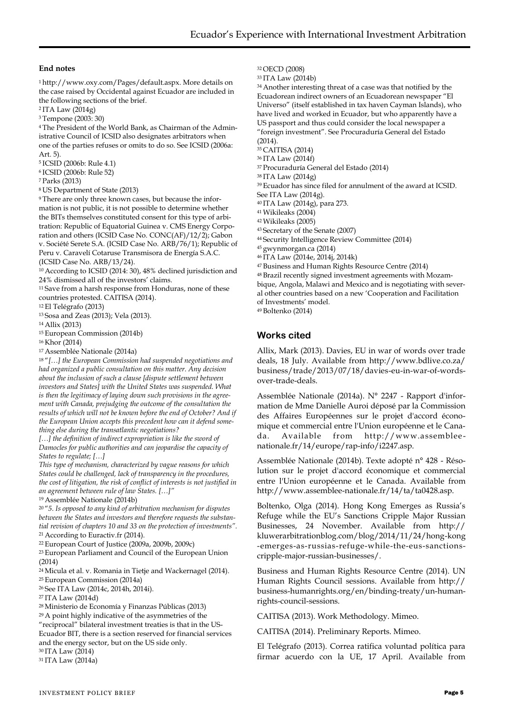#### **End notes**

<sup>1</sup>http://www.oxy.com/Pages/default.aspx. More details on the case raised by Occidental against Ecuador are included in the following sections of the brief.

<sup>2</sup>ITA Law (2014g)

<sup>3</sup>Tempone (2003: 30)

4 The President of the World Bank, as Chairman of the Administrative Council of ICSID also designates arbitrators when one of the parties refuses or omits to do so. See ICSID (2006a: Art. 5).

<sup>5</sup>ICSID (2006b: Rule 4.1)

<sup>6</sup>ICSID (2006b: Rule 52)

<sup>7</sup>Parks (2013)

<sup>8</sup>US Department of State (2013)

9 There are only three known cases, but because the information is not public, it is not possible to determine whether the BITs themselves constituted consent for this type of arbitration: Republic of Equatorial Guinea v. CMS Energy Corporation and others (ICSID Case No. CONC(AF)/12/2); Gabon v. Société Serete S.A. (ICSID Case No. ARB/76/1); Republic of Peru v. Caravelí Cotaruse Transmisora de Energía S.A.C. (ICSID Case No. ARB/13/24).

<sup>10</sup>According to ICSID (2014: 30), 48% declined jurisdiction and 24% dismissed all of the investors' claims.

<sup>11</sup>Save from a harsh response from Honduras, none of these countries protested. CAITISA (2014).

<sup>12</sup>El Telégrafo (2013)

<sup>13</sup>Sosa and Zeas (2013); Vela (2013).

<sup>14</sup>Allix (2013)

<sup>15</sup>European Commission (2014b)

<sup>16</sup>Khor (2014)

<sup>17</sup>Assemblée Nationale (2014a)

<sup>18</sup>"*[…] the European Commission had suspended negotiations and had organized a public consultation on this matter. Any decision about the inclusion of such a clause [dispute settlement between investors and States] with the United States was suspended. What is then the legitimacy of laying down such provisions in the agreement with Canada, prejudging the outcome of the consultation the results of which will not be known before the end of October? And if the European Union accepts this precedent how can it defend something else during the transatlantic negotiations?*

[...] the definition of indirect expropriation is like the sword of *Damocles for public authorities and can jeopardise the capacity of States to regulate; […]*

*This type of mechanism, characterized by vague reasons for which States could be challenged, lack of transparency in the procedures, the cost of litigation, the risk of conflict of interests is not justified in an agreement between rule of law States. […]"*

<sup>19</sup>Assemblée Nationale (2014b)

<sup>20</sup>"*5. Is opposed to any kind of arbitration mechanism for disputes between the States and investors and therefore requests the substantial revision of chapters 10 and 33 on the protection of investments".*  <sup>21</sup>According to Euractiv.fr (2014).

<sup>22</sup>European Court of Justice (2009a, 2009b, 2009c)

<sup>23</sup>European Parliament and Council of the European Union (2014)

<sup>24</sup>Micula et al. v. Romania in Tietje and Wackernagel (2014). <sup>25</sup>European Commission (2014a)

<sup>26</sup>See ITA Law (2014c, 2014h, 2014i).

<sup>27</sup>ITA Law (2014d)

<sup>28</sup>Ministerio de Economía y Finanzas Públicas (2013) <sup>29</sup>A point highly indicative of the asymmetries of the "reciprocal" bilateral investment treaties is that in the US-Ecuador BIT, there is a section reserved for financial services and the energy sector, but on the US side only. <sup>30</sup>ITA Law (2014)

31 ITA Law (2014a)

<sup>32</sup>OECD (2008)

<sup>33</sup>ITA Law (2014b)

<sup>34</sup>Another interesting threat of a case was that notified by the Ecuadorean indirect owners of an Ecuadorean newspaper "El Universo" (itself established in tax haven Cayman Islands), who have lived and worked in Ecuador, but who apparently have a US passport and thus could consider the local newspaper a "foreign investment". See Procuraduría General del Estado (2014).

<sup>35</sup>CAITISA (2014)

<sup>36</sup>ITA Law (2014f)

<sup>37</sup>Procuraduría General del Estado (2014)

<sup>38</sup>ITA Law (2014g)

<sup>39</sup>Ecuador has since filed for annulment of the award at ICSID.

See ITA Law (2014g).

<sup>40</sup>ITA Law (2014g), para 273.

<sup>41</sup>Wikileaks (2004)

<sup>42</sup>Wikileaks (2005)

<sup>43</sup>Secretary of the Senate (2007)

<sup>44</sup>Security Intelligence Review Committee (2014)

<sup>45</sup>gwynmorgan.ca (2014)

<sup>46</sup>ITA Law (2014e, 2014j, 2014k)

<sup>47</sup>Business and Human Rights Resource Centre (2014) 48 Brazil recently signed investment agreements with Mozambique, Angola, Malawi and Mexico and is negotiating with several other countries based on a new 'Cooperation and Facilitation of Investments' model.

<sup>49</sup>Boltenko (2014)

# **Works cited**

Allix, Mark (2013). Davies, EU in war of words over trade deals, 18 July. Available from http://www.bdlive.co.za/ business/trade/2013/07/18/davies-eu-in-war-of-wordsover-trade-deals.

Assemblée Nationale (2014a). N° 2247 - Rapport d'information de Mme Danielle Auroi déposé par la Commission des Affaires Européennes sur le projet d'accord économique et commercial entre l'Union européenne et le Canada. Available from http://www.assemblee nationale.fr/14/europe/rap-info/i2247.asp.

Assemblée Nationale (2014b). Texte adopté n° 428 - Résolution sur le projet d'accord économique et commercial entre l'Union européenne et le Canada. Available from http://www.assemblee-nationale.fr/14/ta/ta0428.asp.

Boltenko, Olga (2014). Hong Kong Emerges as Russia's Refuge while the EU's Sanctions Cripple Major Russian Businesses, 24 November. Available from http:// kluwerarbitrationblog.com/blog/2014/11/24/hong-kong -emerges-as-russias-refuge-while-the-eus-sanctionscripple-major-russian-businesses/.

Business and Human Rights Resource Centre (2014). UN Human Rights Council sessions. Available from http:// business-humanrights.org/en/binding-treaty/un-humanrights-council-sessions.

CAITISA (2013). Work Methodology. Mimeo.

CAITISA (2014). Preliminary Reports. Mimeo.

El Telégrafo (2013). Correa ratifica voluntad política para firmar acuerdo con la UE, 17 April. Available from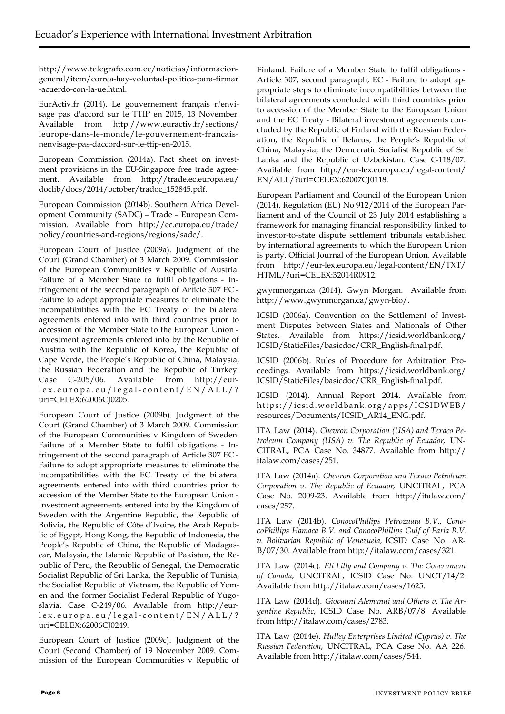http://www.telegrafo.com.ec/noticias/informaciongeneral/item/correa-hay-voluntad-politica-para-firmar -acuerdo-con-la-ue.html.

EurActiv.fr (2014). Le gouvernement français n'envisage pas d'accord sur le TTIP en 2015, 13 November. Available from http://www.euractiv.fr/sections/ leurope-dans-le-monde/le-gouvernement-francaisnenvisage-pas-daccord-sur-le-ttip-en-2015.

European Commission (2014a). Fact sheet on investment provisions in the EU-Singapore free trade agreement. Available from http://trade.ec.europa.eu/ doclib/docs/2014/october/tradoc\_152845.pdf.

European Commission (2014b). Southern Africa Development Community (SADC) – Trade – European Commission. Available from http://ec.europa.eu/trade/ policy/countries-and-regions/regions/sadc/.

European Court of Justice (2009a). Judgment of the Court (Grand Chamber) of 3 March 2009. Commission of the European Communities v Republic of Austria. Failure of a Member State to fulfil obligations - Infringement of the second paragraph of Article 307 EC - Failure to adopt appropriate measures to eliminate the incompatibilities with the EC Treaty of the bilateral agreements entered into with third countries prior to accession of the Member State to the European Union - Investment agreements entered into by the Republic of Austria with the Republic of Korea, the Republic of Cape Verde, the People's Republic of China, Malaysia, the Russian Federation and the Republic of Turkey. Case C-205/06. Available from http://eurlex.europa.eu/legal-content/EN/ALL/? uri=CELEX:62006CJ0205.

European Court of Justice (2009b). Judgment of the Court (Grand Chamber) of 3 March 2009. Commission of the European Communities v Kingdom of Sweden. Failure of a Member State to fulfil obligations - Infringement of the second paragraph of Article 307 EC - Failure to adopt appropriate measures to eliminate the incompatibilities with the EC Treaty of the bilateral agreements entered into with third countries prior to accession of the Member State to the European Union - Investment agreements entered into by the Kingdom of Sweden with the Argentine Republic, the Republic of Bolivia, the Republic of Côte d'Ivoire, the Arab Republic of Egypt, Hong Kong, the Republic of Indonesia, the People's Republic of China, the Republic of Madagascar, Malaysia, the Islamic Republic of Pakistan, the Republic of Peru, the Republic of Senegal, the Democratic Socialist Republic of Sri Lanka, the Republic of Tunisia, the Socialist Republic of Vietnam, the Republic of Yemen and the former Socialist Federal Republic of Yugoslavia. Case C-249/06. Available from http://eurlex.europa.eu/legal-content/EN/ALL/? uri=CELEX:62006CJ0249.

European Court of Justice (2009c). Judgment of the Court (Second Chamber) of 19 November 2009. Commission of the European Communities v Republic of Finland. Failure of a Member State to fulfil obligations - Article 307, second paragraph, EC - Failure to adopt appropriate steps to eliminate incompatibilities between the bilateral agreements concluded with third countries prior to accession of the Member State to the European Union and the EC Treaty - Bilateral investment agreements concluded by the Republic of Finland with the Russian Federation, the Republic of Belarus, the People's Republic of China, Malaysia, the Democratic Socialist Republic of Sri Lanka and the Republic of Uzbekistan. Case C-118/07. Available from http://eur-lex.europa.eu/legal-content/ EN/ALL/?uri=CELEX:62007CJ0118.

European Parliament and Council of the European Union (2014). Regulation (EU) No 912/2014 of the European Parliament and of the Council of 23 July 2014 establishing a framework for managing financial responsibility linked to investor-to-state dispute settlement tribunals established by international agreements to which the European Union is party. Official Journal of the European Union. Available from http://eur-lex.europa.eu/legal-content/EN/TXT/ HTML/?uri=CELEX:32014R0912.

gwynmorgan.ca (2014). Gwyn Morgan. Available from http://www.gwynmorgan.ca/gwyn-bio/.

ICSID (2006a). Convention on the Settlement of Investment Disputes between States and Nationals of Other States. Available from https://icsid.worldbank.org/ ICSID/StaticFiles/basicdoc/CRR\_English-final.pdf.

ICSID (2006b). Rules of Procedure for Arbitration Proceedings. Available from https://icsid.worldbank.org/ ICSID/StaticFiles/basicdoc/CRR\_English-final.pdf.

ICSID (2014). Annual Report 2014. Available from https://icsid.worldbank.org/apps/ICSIDWEB/ resources/Documents/ICSID\_AR14\_ENG.pdf.

ITA Law (2014). *Chevron Corporation (USA) and Texaco Petroleum Company (USA) v. The Republic of Ecuador*, UN-CITRAL, PCA Case No. 34877. Available from http:// italaw.com/cases/251.

ITA Law (2014a). *Chevron Corporation and Texaco Petroleum Corporation v. The Republic of Ecuador*, UNCITRAL, PCA Case No. 2009-23. Available from http://italaw.com/ cases/257.

ITA Law (2014b). *ConocoPhillips Petrozuata B.V., ConocoPhillips Hamaca B.V. and ConocoPhillips Gulf of Paria B.V. v. Bolivarian Republic of Venezuela,* ICSID Case No. AR-B/07/30. Available from http://italaw.com/cases/321.

ITA Law (2014c). *Eli Lilly and Company v. The Government of Canada*, UNCITRAL, ICSID Case No. UNCT/14/2. Available from http://italaw.com/cases/1625.

ITA Law (2014d). *Giovanni Alemanni and Others v. The Argentine Republic*, ICSID Case No. ARB/07/8. Available from http://italaw.com/cases/2783.

ITA Law (2014e). *Hulley Enterprises Limited (Cyprus) v. The Russian Federation*, UNCITRAL, PCA Case No. AA 226. Available from http://italaw.com/cases/544.